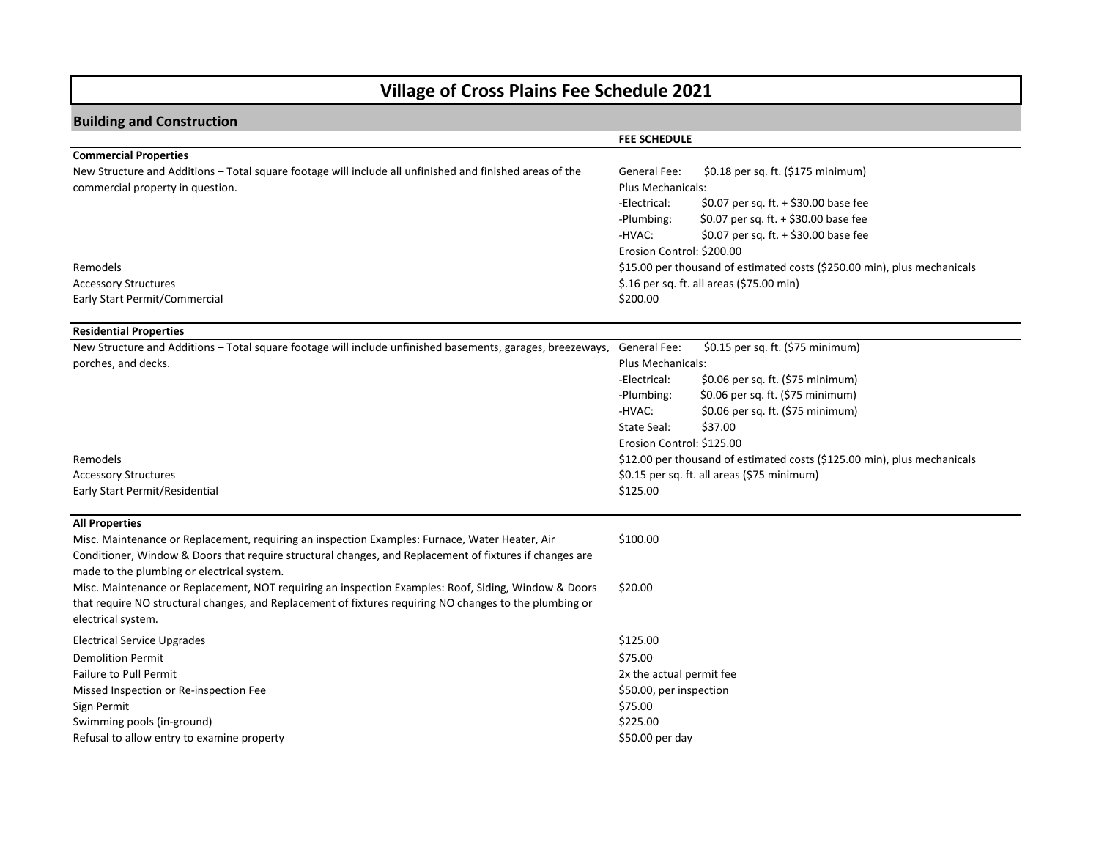## **Village of Cross Plains Fee Schedule 2021**

## **Building and Construction**

|                                                                                                                                                       | <b>FEE SCHEDULE</b>       |                                                                          |  |
|-------------------------------------------------------------------------------------------------------------------------------------------------------|---------------------------|--------------------------------------------------------------------------|--|
| <b>Commercial Properties</b>                                                                                                                          |                           |                                                                          |  |
| New Structure and Additions - Total square footage will include all unfinished and finished areas of the                                              | General Fee:              | \$0.18 per sq. ft. (\$175 minimum)                                       |  |
| commercial property in question.                                                                                                                      | Plus Mechanicals:         |                                                                          |  |
|                                                                                                                                                       | -Electrical:              | \$0.07 per sq. ft. $+$ \$30.00 base fee                                  |  |
|                                                                                                                                                       | -Plumbing:                | \$0.07 per sq. ft. + \$30.00 base fee                                    |  |
|                                                                                                                                                       | -HVAC:                    | \$0.07 per sq. ft. + \$30.00 base fee                                    |  |
|                                                                                                                                                       | Erosion Control: \$200.00 |                                                                          |  |
| Remodels                                                                                                                                              |                           | \$15.00 per thousand of estimated costs (\$250.00 min), plus mechanicals |  |
| <b>Accessory Structures</b>                                                                                                                           |                           | \$.16 per sq. ft. all areas (\$75.00 min)                                |  |
| Early Start Permit/Commercial                                                                                                                         | \$200.00                  |                                                                          |  |
| <b>Residential Properties</b>                                                                                                                         |                           |                                                                          |  |
| New Structure and Additions - Total square footage will include unfinished basements, garages, breezeways,                                            | General Fee:              | \$0.15 per sq. ft. (\$75 minimum)                                        |  |
| porches, and decks.                                                                                                                                   |                           | Plus Mechanicals:                                                        |  |
|                                                                                                                                                       | -Electrical:              | \$0.06 per sq. ft. (\$75 minimum)                                        |  |
|                                                                                                                                                       | -Plumbing:                | \$0.06 per sq. ft. (\$75 minimum)                                        |  |
|                                                                                                                                                       | -HVAC:                    | \$0.06 per sq. ft. (\$75 minimum)                                        |  |
|                                                                                                                                                       | State Seal:               | \$37.00                                                                  |  |
|                                                                                                                                                       | Erosion Control: \$125.00 |                                                                          |  |
| Remodels                                                                                                                                              |                           | \$12.00 per thousand of estimated costs (\$125.00 min), plus mechanicals |  |
| <b>Accessory Structures</b>                                                                                                                           |                           | \$0.15 per sq. ft. all areas (\$75 minimum)                              |  |
| Early Start Permit/Residential                                                                                                                        | \$125.00                  |                                                                          |  |
| <b>All Properties</b>                                                                                                                                 |                           |                                                                          |  |
| Misc. Maintenance or Replacement, requiring an inspection Examples: Furnace, Water Heater, Air                                                        | \$100.00                  |                                                                          |  |
| Conditioner, Window & Doors that require structural changes, and Replacement of fixtures if changes are<br>made to the plumbing or electrical system. |                           |                                                                          |  |
| Misc. Maintenance or Replacement, NOT requiring an inspection Examples: Roof, Siding, Window & Doors                                                  | \$20.00                   |                                                                          |  |
| that require NO structural changes, and Replacement of fixtures requiring NO changes to the plumbing or                                               |                           |                                                                          |  |
| electrical system.                                                                                                                                    |                           |                                                                          |  |
| <b>Electrical Service Upgrades</b>                                                                                                                    | \$125.00                  |                                                                          |  |
| <b>Demolition Permit</b>                                                                                                                              | \$75.00                   |                                                                          |  |
| Failure to Pull Permit                                                                                                                                | 2x the actual permit fee  |                                                                          |  |
| Missed Inspection or Re-inspection Fee                                                                                                                | \$50.00, per inspection   |                                                                          |  |
| Sign Permit                                                                                                                                           | \$75.00                   |                                                                          |  |
| Swimming pools (in-ground)                                                                                                                            | \$225.00                  |                                                                          |  |
| Refusal to allow entry to examine property                                                                                                            | \$50.00 per day           |                                                                          |  |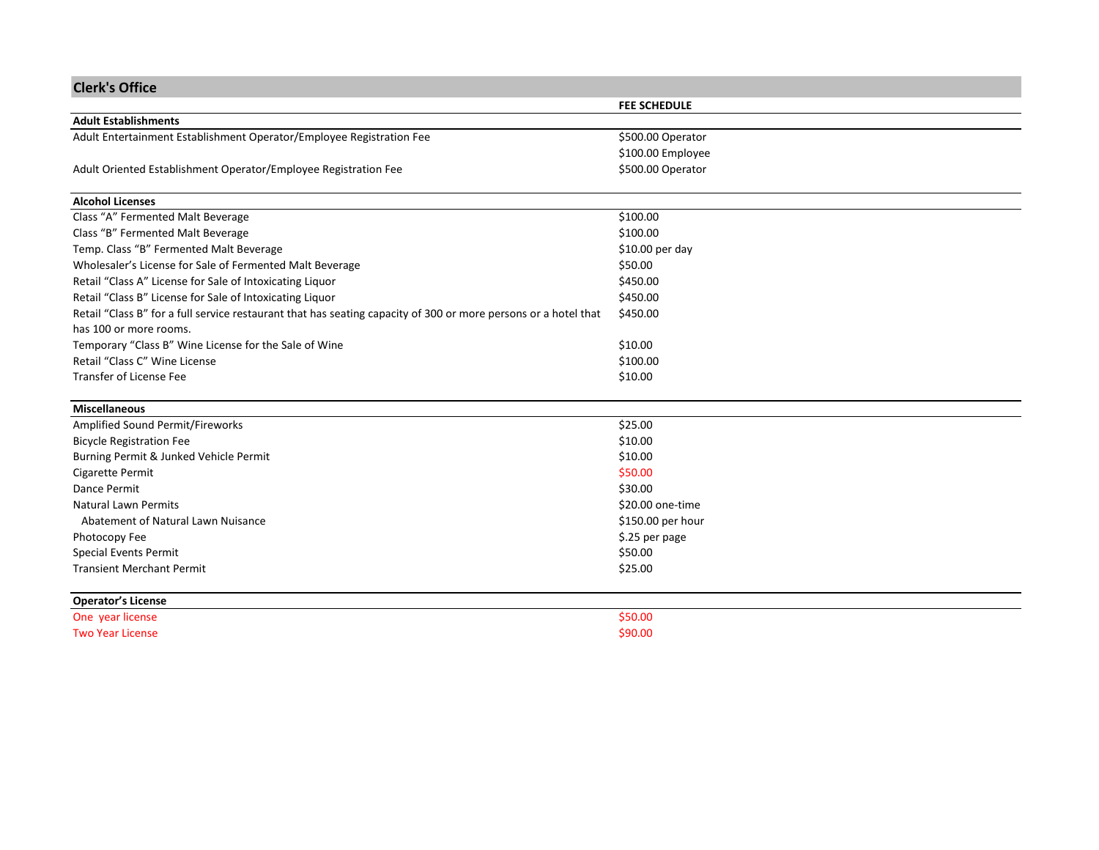| <b>Clerk's Office</b>                                                                                           |                     |  |
|-----------------------------------------------------------------------------------------------------------------|---------------------|--|
|                                                                                                                 | <b>FEE SCHEDULE</b> |  |
| <b>Adult Establishments</b>                                                                                     |                     |  |
| Adult Entertainment Establishment Operator/Employee Registration Fee                                            | \$500.00 Operator   |  |
|                                                                                                                 | \$100.00 Employee   |  |
| Adult Oriented Establishment Operator/Employee Registration Fee                                                 | \$500.00 Operator   |  |
|                                                                                                                 |                     |  |
| <b>Alcohol Licenses</b>                                                                                         |                     |  |
| Class "A" Fermented Malt Beverage                                                                               | \$100.00            |  |
| Class "B" Fermented Malt Beverage                                                                               | \$100.00            |  |
| Temp. Class "B" Fermented Malt Beverage                                                                         | \$10.00 per day     |  |
| Wholesaler's License for Sale of Fermented Malt Beverage                                                        | \$50.00             |  |
| Retail "Class A" License for Sale of Intoxicating Liquor                                                        | \$450.00            |  |
| Retail "Class B" License for Sale of Intoxicating Liquor                                                        | \$450.00            |  |
| Retail "Class B" for a full service restaurant that has seating capacity of 300 or more persons or a hotel that | \$450.00            |  |
| has 100 or more rooms.                                                                                          |                     |  |
| Temporary "Class B" Wine License for the Sale of Wine                                                           | \$10.00             |  |
| Retail "Class C" Wine License                                                                                   | \$100.00            |  |
| Transfer of License Fee                                                                                         | \$10.00             |  |
| <b>Miscellaneous</b>                                                                                            |                     |  |
| Amplified Sound Permit/Fireworks                                                                                | \$25.00             |  |
| <b>Bicycle Registration Fee</b>                                                                                 | \$10.00             |  |
| Burning Permit & Junked Vehicle Permit                                                                          | \$10.00             |  |
| Cigarette Permit                                                                                                | \$50.00             |  |
| Dance Permit                                                                                                    | \$30.00             |  |
| <b>Natural Lawn Permits</b>                                                                                     | \$20.00 one-time    |  |
| Abatement of Natural Lawn Nuisance                                                                              | \$150.00 per hour   |  |
| Photocopy Fee                                                                                                   | \$.25 per page      |  |
| Special Events Permit                                                                                           | \$50.00             |  |
| <b>Transient Merchant Permit</b>                                                                                | \$25.00             |  |
| <b>Operator's License</b>                                                                                       |                     |  |
| One year license                                                                                                | \$50.00             |  |
| <b>Two Year License</b>                                                                                         | \$90.00             |  |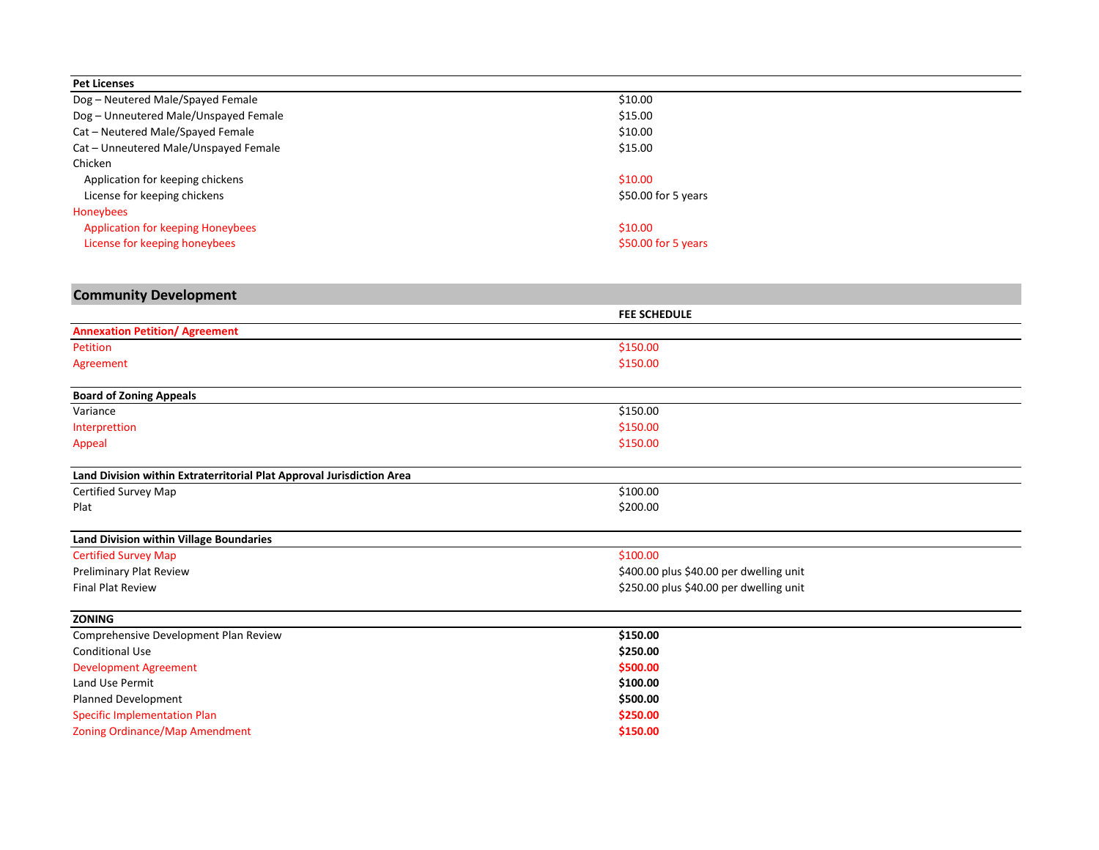| <b>Pet Licenses</b>                      |                     |
|------------------------------------------|---------------------|
| Dog - Neutered Male/Spayed Female        | \$10.00             |
| Dog - Unneutered Male/Unspayed Female    | \$15.00             |
| Cat - Neutered Male/Spayed Female        | \$10.00             |
| Cat - Unneutered Male/Unspayed Female    | \$15.00             |
| Chicken                                  |                     |
| Application for keeping chickens         | \$10.00             |
| License for keeping chickens             | \$50.00 for 5 years |
| Honeybees                                |                     |
| <b>Application for keeping Honeybees</b> | \$10.00             |
| License for keeping honeybees            | \$50.00 for 5 years |

## **Community Development**

|                                                                       | <b>FEE SCHEDULE</b>                     |  |  |
|-----------------------------------------------------------------------|-----------------------------------------|--|--|
| <b>Annexation Petition/ Agreement</b>                                 |                                         |  |  |
| Petition                                                              | \$150.00                                |  |  |
| Agreement                                                             | \$150.00                                |  |  |
| <b>Board of Zoning Appeals</b>                                        |                                         |  |  |
| Variance                                                              | \$150.00                                |  |  |
| Interprettion                                                         | \$150.00                                |  |  |
| Appeal                                                                | \$150.00                                |  |  |
| Land Division within Extraterritorial Plat Approval Jurisdiction Area |                                         |  |  |
| Certified Survey Map                                                  | \$100.00                                |  |  |
| Plat                                                                  | \$200.00                                |  |  |
| Land Division within Village Boundaries                               |                                         |  |  |
| <b>Certified Survey Map</b>                                           | \$100.00                                |  |  |
| Preliminary Plat Review                                               | \$400.00 plus \$40.00 per dwelling unit |  |  |
| <b>Final Plat Review</b>                                              | \$250.00 plus \$40.00 per dwelling unit |  |  |
| <b>ZONING</b>                                                         |                                         |  |  |
| Comprehensive Development Plan Review                                 | \$150.00                                |  |  |
| <b>Conditional Use</b>                                                | \$250.00                                |  |  |
| <b>Development Agreement</b>                                          | \$500.00                                |  |  |
| <b>Land Use Permit</b>                                                | \$100.00                                |  |  |
| Planned Development                                                   | \$500.00                                |  |  |
| <b>Specific Implementation Plan</b>                                   | \$250.00                                |  |  |
| Zoning Ordinance/Map Amendment                                        | \$150.00                                |  |  |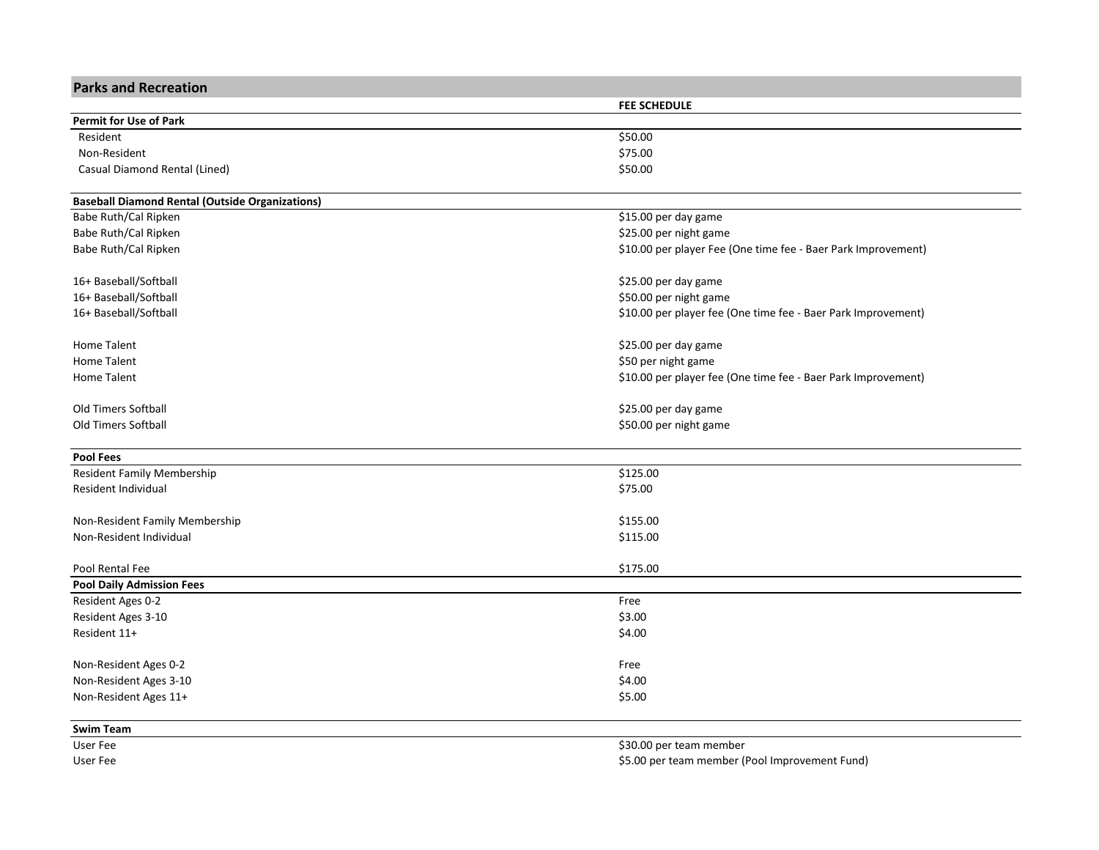| <b>Parks and Recreation</b>                            |                                                               |
|--------------------------------------------------------|---------------------------------------------------------------|
|                                                        | <b>FEE SCHEDULE</b>                                           |
| Permit for Use of Park                                 |                                                               |
| Resident                                               | \$50.00                                                       |
| Non-Resident                                           | \$75.00                                                       |
| Casual Diamond Rental (Lined)                          | \$50.00                                                       |
| <b>Baseball Diamond Rental (Outside Organizations)</b> |                                                               |
| Babe Ruth/Cal Ripken                                   | \$15.00 per day game                                          |
| Babe Ruth/Cal Ripken                                   | \$25.00 per night game                                        |
| Babe Ruth/Cal Ripken                                   | \$10.00 per player Fee (One time fee - Baer Park Improvement) |
| 16+ Baseball/Softball                                  | \$25.00 per day game                                          |
| 16+ Baseball/Softball                                  | \$50.00 per night game                                        |
| 16+ Baseball/Softball                                  | \$10.00 per player fee (One time fee - Baer Park Improvement) |
| Home Talent                                            | \$25.00 per day game                                          |
| Home Talent                                            | \$50 per night game                                           |
| Home Talent                                            | \$10.00 per player fee (One time fee - Baer Park Improvement) |
| Old Timers Softball                                    | \$25.00 per day game                                          |
| <b>Old Timers Softball</b>                             | \$50.00 per night game                                        |
| <b>Pool Fees</b>                                       |                                                               |
| <b>Resident Family Membership</b>                      | \$125.00                                                      |
| Resident Individual                                    | \$75.00                                                       |
| Non-Resident Family Membership                         | \$155.00                                                      |
| Non-Resident Individual                                | \$115.00                                                      |
| Pool Rental Fee                                        | \$175.00                                                      |
| <b>Pool Daily Admission Fees</b>                       |                                                               |
| Resident Ages 0-2                                      | Free                                                          |
| Resident Ages 3-10                                     | \$3.00                                                        |
| Resident 11+                                           | \$4.00                                                        |
| Non-Resident Ages 0-2                                  | Free                                                          |
| Non-Resident Ages 3-10                                 | \$4.00                                                        |
| Non-Resident Ages 11+                                  | \$5.00                                                        |
| <b>Swim Team</b>                                       |                                                               |
| User Fee                                               | \$30.00 per team member                                       |
| User Fee                                               | \$5.00 per team member (Pool Improvement Fund)                |